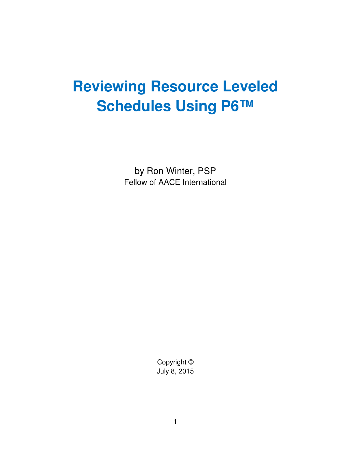# **Reviewing Resource Leveled Schedules Using P6™**

by Ron Winter, PSP Fellow of AACE International

> Copyright © July 8, 2015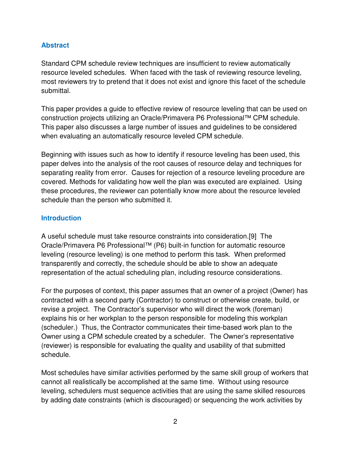## **Abstract**

Standard CPM schedule review techniques are insufficient to review automatically resource leveled schedules. When faced with the task of reviewing resource leveling, most reviewers try to pretend that it does not exist and ignore this facet of the schedule submittal.

This paper provides a guide to effective review of resource leveling that can be used on construction projects utilizing an Oracle/Primavera P6 Professional™ CPM schedule. This paper also discusses a large number of issues and guidelines to be considered when evaluating an automatically resource leveled CPM schedule.

Beginning with issues such as how to identify if resource leveling has been used, this paper delves into the analysis of the root causes of resource delay and techniques for separating reality from error. Causes for rejection of a resource leveling procedure are covered. Methods for validating how well the plan was executed are explained. Using these procedures, the reviewer can potentially know more about the resource leveled schedule than the person who submitted it.

#### **Introduction**

A useful schedule must take resource constraints into consideration.[9] The Oracle/Primavera P6 Professional™ (P6) built-in function for automatic resource leveling (resource leveling) is one method to perform this task. When preformed transparently and correctly, the schedule should be able to show an adequate representation of the actual scheduling plan, including resource considerations.

For the purposes of context, this paper assumes that an owner of a project (Owner) has contracted with a second party (Contractor) to construct or otherwise create, build, or revise a project. The Contractor's supervisor who will direct the work (foreman) explains his or her workplan to the person responsible for modeling this workplan (scheduler.) Thus, the Contractor communicates their time-based work plan to the Owner using a CPM schedule created by a scheduler. The Owner's representative (reviewer) is responsible for evaluating the quality and usability of that submitted schedule.

Most schedules have similar activities performed by the same skill group of workers that cannot all realistically be accomplished at the same time. Without using resource leveling, schedulers must sequence activities that are using the same skilled resources by adding date constraints (which is discouraged) or sequencing the work activities by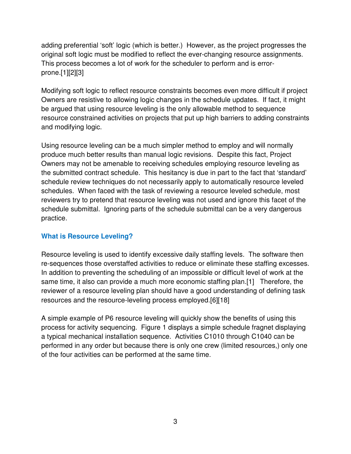adding preferential 'soft' logic (which is better.) However, as the project progresses the original soft logic must be modified to reflect the ever-changing resource assignments. This process becomes a lot of work for the scheduler to perform and is errorprone.[1][2][3]

Modifying soft logic to reflect resource constraints becomes even more difficult if project Owners are resistive to allowing logic changes in the schedule updates. If fact, it might be argued that using resource leveling is the only allowable method to sequence resource constrained activities on projects that put up high barriers to adding constraints and modifying logic.

Using resource leveling can be a much simpler method to employ and will normally produce much better results than manual logic revisions. Despite this fact, Project Owners may not be amenable to receiving schedules employing resource leveling as the submitted contract schedule. This hesitancy is due in part to the fact that 'standard' schedule review techniques do not necessarily apply to automatically resource leveled schedules. When faced with the task of reviewing a resource leveled schedule, most reviewers try to pretend that resource leveling was not used and ignore this facet of the schedule submittal. Ignoring parts of the schedule submittal can be a very dangerous practice.

#### **What is Resource Leveling?**

Resource leveling is used to identify excessive daily staffing levels. The software then re-sequences those overstaffed activities to reduce or eliminate these staffing excesses. In addition to preventing the scheduling of an impossible or difficult level of work at the same time, it also can provide a much more economic staffing plan.[1] Therefore, the reviewer of a resource leveling plan should have a good understanding of defining task resources and the resource-leveling process employed.[6][18]

A simple example of P6 resource leveling will quickly show the benefits of using this process for activity sequencing. Figure 1 displays a simple schedule fragnet displaying a typical mechanical installation sequence. Activities C1010 through C1040 can be performed in any order but because there is only one crew (limited resources,) only one of the four activities can be performed at the same time.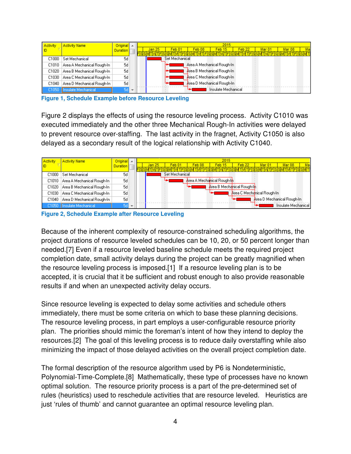| Activity | <b>Activity Name</b>         | Original $\sim$  |  |        |                |                   | 2015                       |                   |        |        |  |
|----------|------------------------------|------------------|--|--------|----------------|-------------------|----------------------------|-------------------|--------|--------|--|
|          |                              | <b>Duration</b>  |  | Jan 25 | Feb 01         | Feb <sub>08</sub> | Feb 15                     | Feb <sub>22</sub> | Mar 01 | Mar 08 |  |
|          |                              |                  |  |        |                | ATIFISSI          | WTIFISISI                  |                   |        |        |  |
| C1000    | l Set Mechanical             | 5d               |  |        | Set Mechanical |                   |                            |                   |        |        |  |
| C1010    | Area A Mechanical Rough-In . | 5d               |  |        |                |                   | Area A Mechanical Rough-In |                   |        |        |  |
| C1020    | Area B Mechanical Rough-In   | 5d               |  |        |                |                   | Area B Mechanical Rough-In |                   |        |        |  |
| C1030    | Area C Mechanical Rough-In-  | 5d               |  |        |                |                   | Area C Mechanical Rough-In |                   |        |        |  |
| C1040    | Area D Mechanical Rough-In . | 5d               |  |        |                |                   | Area D Mechanical Rough-In |                   |        |        |  |
| C1050    | <b>Insulate Mechanical</b>   | $5d \rightarrow$ |  |        |                |                   | Insulate Mechanical        |                   |        |        |  |

**Figure 1, Schedule Example before Resource Leveling**

Figure 2 displays the effects of using the resource leveling process. Activity C1010 was executed immediately and the other three Mechanical Rough-In activities were delayed to prevent resource over-staffing. The last activity in the fragnet, Activity C1050 is also delayed as a secondary result of the logical relationship with Activity C1040.

| Activity | <b>Activity Name</b>         | Original A      |  |        |                |        | 2015                       |                   |                            |                            |  |
|----------|------------------------------|-----------------|--|--------|----------------|--------|----------------------------|-------------------|----------------------------|----------------------------|--|
|          |                              | <b>Duration</b> |  | Jan 25 | Feb 01         | Feb 08 | Feb 15.                    | Feb <sub>22</sub> | Mar Oʻ                     | Mar 08                     |  |
|          |                              |                 |  |        |                |        |                            |                   |                            |                            |  |
| C1000    | Set Mechanical               | 5d              |  |        | Set Mechanical |        |                            |                   |                            |                            |  |
| C1010    | Area A Mechanical Rough-In-  | 5d              |  |        |                |        | Area A Mechanical Rough-In |                   |                            |                            |  |
| C1020    | Area B Mechanical Rough-In   | 5d              |  |        |                |        | Area B Mechanical Rough-In |                   |                            |                            |  |
| C1030    | Area C Mechanical Rough-In-  | 5d              |  |        |                |        |                            |                   | Area C Mechanical Rough-In |                            |  |
| C1040    | Area D Mechanical Rough-In . | 5d              |  |        |                |        |                            |                   |                            | Area D Mechanical Rough-In |  |
|          | C1050   Insulate Mechanical  | 56 <del>.</del> |  |        |                |        |                            |                   |                            | Insulate Mechanical        |  |

**Figure 2, Schedule Example after Resource Leveling** 

Because of the inherent complexity of resource-constrained scheduling algorithms, the project durations of resource leveled schedules can be 10, 20, or 50 percent longer than needed.[7] Even if a resource leveled baseline schedule meets the required project completion date, small activity delays during the project can be greatly magnified when the resource leveling process is imposed.[1] If a resource leveling plan is to be accepted, it is crucial that it be sufficient and robust enough to also provide reasonable results if and when an unexpected activity delay occurs.

Since resource leveling is expected to delay some activities and schedule others immediately, there must be some criteria on which to base these planning decisions. The resource leveling process, in part employs a user-configurable resource priority plan. The priorities should mimic the foreman's intent of how they intend to deploy the resources.[2] The goal of this leveling process is to reduce daily overstaffing while also minimizing the impact of those delayed activities on the overall project completion date.

The formal description of the resource algorithm used by P6 is Nondeterministic, Polynomial-Time-Complete.[8] Mathematically, these type of processes have no known optimal solution. The resource priority process is a part of the pre-determined set of rules (heuristics) used to reschedule activities that are resource leveled. Heuristics are just 'rules of thumb' and cannot guarantee an optimal resource leveling plan.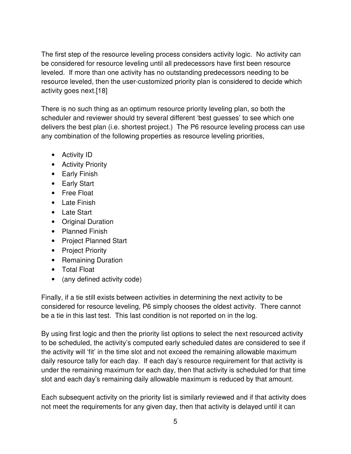The first step of the resource leveling process considers activity logic. No activity can be considered for resource leveling until all predecessors have first been resource leveled. If more than one activity has no outstanding predecessors needing to be resource leveled, then the user-customized priority plan is considered to decide which activity goes next.[18]

There is no such thing as an optimum resource priority leveling plan, so both the scheduler and reviewer should try several different 'best guesses' to see which one delivers the best plan (i.e. shortest project.) The P6 resource leveling process can use any combination of the following properties as resource leveling priorities,

- Activity ID
- Activity Priority
- Early Finish
- Early Start
- Free Float
- Late Finish
- Late Start
- Original Duration
- Planned Finish
- Project Planned Start
- Project Priority
- Remaining Duration
- Total Float
- (any defined activity code)

Finally, if a tie still exists between activities in determining the next activity to be considered for resource leveling, P6 simply chooses the oldest activity. There cannot be a tie in this last test. This last condition is not reported on in the log.

By using first logic and then the priority list options to select the next resourced activity to be scheduled, the activity's computed early scheduled dates are considered to see if the activity will 'fit' in the time slot and not exceed the remaining allowable maximum daily resource tally for each day. If each day's resource requirement for that activity is under the remaining maximum for each day, then that activity is scheduled for that time slot and each day's remaining daily allowable maximum is reduced by that amount.

Each subsequent activity on the priority list is similarly reviewed and if that activity does not meet the requirements for any given day, then that activity is delayed until it can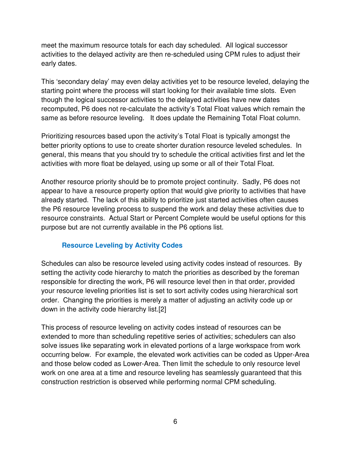meet the maximum resource totals for each day scheduled. All logical successor activities to the delayed activity are then re-scheduled using CPM rules to adjust their early dates.

This 'secondary delay' may even delay activities yet to be resource leveled, delaying the starting point where the process will start looking for their available time slots. Even though the logical successor activities to the delayed activities have new dates recomputed, P6 does not re-calculate the activity's Total Float values which remain the same as before resource leveling. It does update the Remaining Total Float column.

Prioritizing resources based upon the activity's Total Float is typically amongst the better priority options to use to create shorter duration resource leveled schedules. In general, this means that you should try to schedule the critical activities first and let the activities with more float be delayed, using up some or all of their Total Float.

Another resource priority should be to promote project continuity. Sadly, P6 does not appear to have a resource property option that would give priority to activities that have already started. The lack of this ability to prioritize just started activities often causes the P6 resource leveling process to suspend the work and delay these activities due to resource constraints. Actual Start or Percent Complete would be useful options for this purpose but are not currently available in the P6 options list.

## **Resource Leveling by Activity Codes**

Schedules can also be resource leveled using activity codes instead of resources. By setting the activity code hierarchy to match the priorities as described by the foreman responsible for directing the work, P6 will resource level then in that order, provided your resource leveling priorities list is set to sort activity codes using hierarchical sort order. Changing the priorities is merely a matter of adjusting an activity code up or down in the activity code hierarchy list.[2]

This process of resource leveling on activity codes instead of resources can be extended to more than scheduling repetitive series of activities; schedulers can also solve issues like separating work in elevated portions of a large workspace from work occurring below. For example, the elevated work activities can be coded as Upper-Area and those below coded as Lower-Area. Then limit the schedule to only resource level work on one area at a time and resource leveling has seamlessly guaranteed that this construction restriction is observed while performing normal CPM scheduling.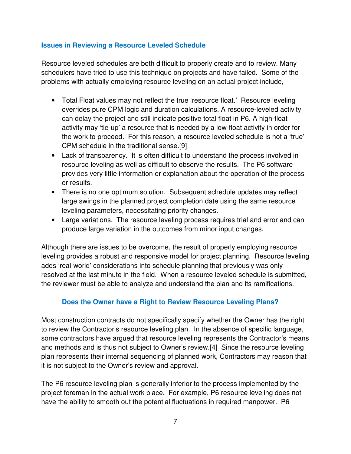## **Issues in Reviewing a Resource Leveled Schedule**

Resource leveled schedules are both difficult to properly create and to review. Many schedulers have tried to use this technique on projects and have failed. Some of the problems with actually employing resource leveling on an actual project include,

- Total Float values may not reflect the true 'resource float.' Resource leveling overrides pure CPM logic and duration calculations. A resource-leveled activity can delay the project and still indicate positive total float in P6. A high-float activity may 'tie-up' a resource that is needed by a low-float activity in order for the work to proceed. For this reason, a resource leveled schedule is not a 'true' CPM schedule in the traditional sense.[9]
- Lack of transparency. It is often difficult to understand the process involved in resource leveling as well as difficult to observe the results. The P6 software provides very little information or explanation about the operation of the process or results.
- There is no one optimum solution. Subsequent schedule updates may reflect large swings in the planned project completion date using the same resource leveling parameters, necessitating priority changes.
- Large variations. The resource leveling process requires trial and error and can produce large variation in the outcomes from minor input changes.

Although there are issues to be overcome, the result of properly employing resource leveling provides a robust and responsive model for project planning. Resource leveling adds 'real-world' considerations into schedule planning that previously was only resolved at the last minute in the field. When a resource leveled schedule is submitted, the reviewer must be able to analyze and understand the plan and its ramifications.

## **Does the Owner have a Right to Review Resource Leveling Plans?**

Most construction contracts do not specifically specify whether the Owner has the right to review the Contractor's resource leveling plan. In the absence of specific language, some contractors have argued that resource leveling represents the Contractor's means and methods and is thus not subject to Owner's review.[4] Since the resource leveling plan represents their internal sequencing of planned work, Contractors may reason that it is not subject to the Owner's review and approval.

The P6 resource leveling plan is generally inferior to the process implemented by the project foreman in the actual work place. For example, P6 resource leveling does not have the ability to smooth out the potential fluctuations in required manpower. P6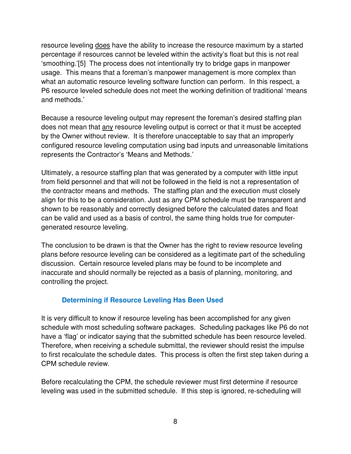resource leveling does have the ability to increase the resource maximum by a started percentage if resources cannot be leveled within the activity's float but this is not real 'smoothing.'[5] The process does not intentionally try to bridge gaps in manpower usage. This means that a foreman's manpower management is more complex than what an automatic resource leveling software function can perform. In this respect, a P6 resource leveled schedule does not meet the working definition of traditional 'means and methods.'

Because a resource leveling output may represent the foreman's desired staffing plan does not mean that any resource leveling output is correct or that it must be accepted by the Owner without review. It is therefore unacceptable to say that an improperly configured resource leveling computation using bad inputs and unreasonable limitations represents the Contractor's 'Means and Methods.'

Ultimately, a resource staffing plan that was generated by a computer with little input from field personnel and that will not be followed in the field is not a representation of the contractor means and methods. The staffing plan and the execution must closely align for this to be a consideration. Just as any CPM schedule must be transparent and shown to be reasonably and correctly designed before the calculated dates and float can be valid and used as a basis of control, the same thing holds true for computergenerated resource leveling.

The conclusion to be drawn is that the Owner has the right to review resource leveling plans before resource leveling can be considered as a legitimate part of the scheduling discussion. Certain resource leveled plans may be found to be incomplete and inaccurate and should normally be rejected as a basis of planning, monitoring, and controlling the project.

## **Determining if Resource Leveling Has Been Used**

It is very difficult to know if resource leveling has been accomplished for any given schedule with most scheduling software packages. Scheduling packages like P6 do not have a 'flag' or indicator saying that the submitted schedule has been resource leveled. Therefore, when receiving a schedule submittal, the reviewer should resist the impulse to first recalculate the schedule dates. This process is often the first step taken during a CPM schedule review.

Before recalculating the CPM, the schedule reviewer must first determine if resource leveling was used in the submitted schedule. If this step is ignored, re-scheduling will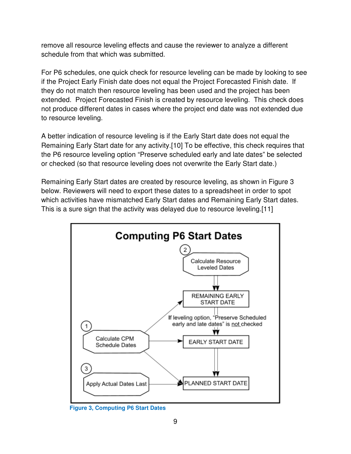remove all resource leveling effects and cause the reviewer to analyze a different schedule from that which was submitted.

For P6 schedules, one quick check for resource leveling can be made by looking to see if the Project Early Finish date does not equal the Project Forecasted Finish date. If they do not match then resource leveling has been used and the project has been extended. Project Forecasted Finish is created by resource leveling. This check does not produce different dates in cases where the project end date was not extended due to resource leveling.

A better indication of resource leveling is if the Early Start date does not equal the Remaining Early Start date for any activity.[10] To be effective, this check requires that the P6 resource leveling option "Preserve scheduled early and late dates" be selected or checked (so that resource leveling does not overwrite the Early Start date.)

Remaining Early Start dates are created by resource leveling, as shown in Figure 3 below. Reviewers will need to export these dates to a spreadsheet in order to spot which activities have mismatched Early Start dates and Remaining Early Start dates. This is a sure sign that the activity was delayed due to resource leveling.[11]



**Figure 3, Computing P6 Start Dates**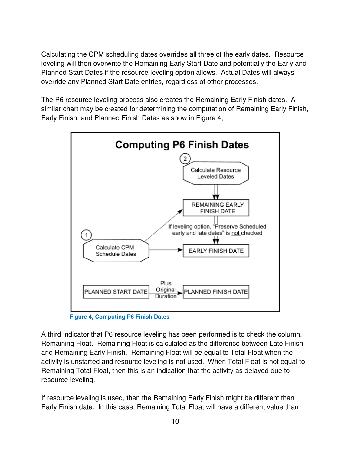Calculating the CPM scheduling dates overrides all three of the early dates. Resource leveling will then overwrite the Remaining Early Start Date and potentially the Early and Planned Start Dates if the resource leveling option allows. Actual Dates will always override any Planned Start Date entries, regardless of other processes.

The P6 resource leveling process also creates the Remaining Early Finish dates. A similar chart may be created for determining the computation of Remaining Early Finish, Early Finish, and Planned Finish Dates as show in Figure 4,



**Figure 4, Computing P6 Finish Dates** 

A third indicator that P6 resource leveling has been performed is to check the column, Remaining Float. Remaining Float is calculated as the difference between Late Finish and Remaining Early Finish. Remaining Float will be equal to Total Float when the activity is unstarted and resource leveling is not used. When Total Float is not equal to Remaining Total Float, then this is an indication that the activity as delayed due to resource leveling.

If resource leveling is used, then the Remaining Early Finish might be different than Early Finish date. In this case, Remaining Total Float will have a different value than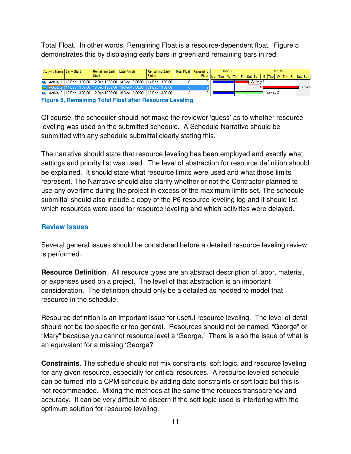Total Float. In other words, Remaining Float is a resource-dependent float. Figure 5 demonstrates this by displaying early bars in green and remaining bars in red.



Of course, the scheduler should not make the reviewer 'guess' as to whether resource leveling was used on the submitted schedule. A Schedule Narrative should be submitted with any schedule submittal clearly stating this.

The narrative should state that resource leveling has been employed and exactly what settings and priority list was used. The level of abstraction for resource definition should be explained. It should state what resource limits were used and what those limits represent. The Narrative should also clarify whether or not the Contractor planned to use any overtime during the project in excess of the maximum limits set. The schedule submittal should also include a copy of the P6 resource leveling log and it should list which resources were used for resource leveling and which activities were delayed.

#### **Review Issues**

Several general issues should be considered before a detailed resource leveling review is performed.

**Resource Definition**. All resource types are an abstract description of labor, material, or expenses used on a project. The level of that abstraction is an important consideration. The definition should only be a detailed as needed to model that resource in the schedule.

Resource definition is an important issue for useful resource leveling. The level of detail should not be too specific or too general. Resources should not be named, "George" or "Mary" because you cannot resource level a 'George.' There is also the issue of what is an equivalent for a missing 'George?'

**Constraints**. The schedule should not mix constraints, soft logic, and resource leveling for any given resource, especially for critical resources. A resource leveled schedule can be turned into a CPM schedule by adding date constraints or soft logic but this is not recommended. Mixing the methods at the same time reduces transparency and accuracy. It can be very difficult to discern if the soft logic used is interfering with the optimum solution for resource leveling.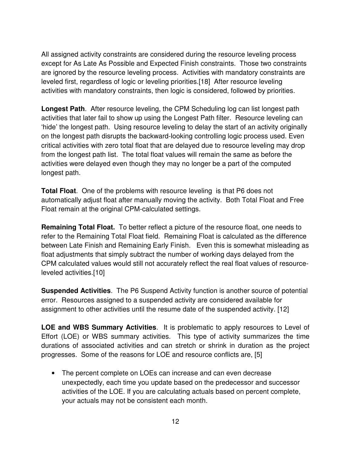All assigned activity constraints are considered during the resource leveling process except for As Late As Possible and Expected Finish constraints. Those two constraints are ignored by the resource leveling process. Activities with mandatory constraints are leveled first, regardless of logic or leveling priorities.[18] After resource leveling activities with mandatory constraints, then logic is considered, followed by priorities.

**Longest Path**. After resource leveling, the CPM Scheduling log can list longest path activities that later fail to show up using the Longest Path filter. Resource leveling can 'hide' the longest path. Using resource leveling to delay the start of an activity originally on the longest path disrupts the backward-looking controlling logic process used. Even critical activities with zero total float that are delayed due to resource leveling may drop from the longest path list. The total float values will remain the same as before the activities were delayed even though they may no longer be a part of the computed longest path.

**Total Float**. One of the problems with resource leveling is that P6 does not automatically adjust float after manually moving the activity. Both Total Float and Free Float remain at the original CPM-calculated settings.

**Remaining Total Float.** To better reflect a picture of the resource float, one needs to refer to the Remaining Total Float field. Remaining Float is calculated as the difference between Late Finish and Remaining Early Finish. Even this is somewhat misleading as float adjustments that simply subtract the number of working days delayed from the CPM calculated values would still not accurately reflect the real float values of resourceleveled activities.[10]

**Suspended Activities**. The P6 Suspend Activity function is another source of potential error. Resources assigned to a suspended activity are considered available for assignment to other activities until the resume date of the suspended activity. [12]

**LOE and WBS Summary Activities**. It is problematic to apply resources to Level of Effort (LOE) or WBS summary activities. This type of activity summarizes the time durations of associated activities and can stretch or shrink in duration as the project progresses. Some of the reasons for LOE and resource conflicts are, [5]

• The percent complete on LOEs can increase and can even decrease unexpectedly, each time you update based on the predecessor and successor activities of the LOE. If you are calculating actuals based on percent complete, your actuals may not be consistent each month.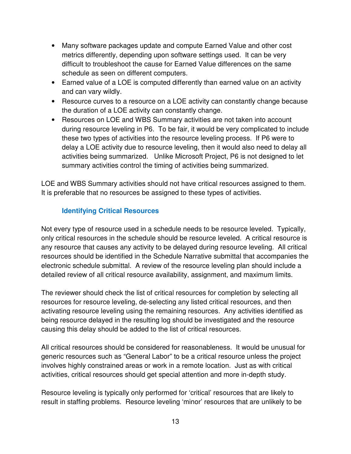- Many software packages update and compute Earned Value and other cost metrics differently, depending upon software settings used. It can be very difficult to troubleshoot the cause for Earned Value differences on the same schedule as seen on different computers.
- Earned value of a LOE is computed differently than earned value on an activity and can vary wildly.
- Resource curves to a resource on a LOE activity can constantly change because the duration of a LOE activity can constantly change.
- Resources on LOE and WBS Summary activities are not taken into account during resource leveling in P6. To be fair, it would be very complicated to include these two types of activities into the resource leveling process. If P6 were to delay a LOE activity due to resource leveling, then it would also need to delay all activities being summarized. Unlike Microsoft Project, P6 is not designed to let summary activities control the timing of activities being summarized.

LOE and WBS Summary activities should not have critical resources assigned to them. It is preferable that no resources be assigned to these types of activities.

## **Identifying Critical Resources**

Not every type of resource used in a schedule needs to be resource leveled. Typically, only critical resources in the schedule should be resource leveled. A critical resource is any resource that causes any activity to be delayed during resource leveling. All critical resources should be identified in the Schedule Narrative submittal that accompanies the electronic schedule submittal. A review of the resource leveling plan should include a detailed review of all critical resource availability, assignment, and maximum limits.

The reviewer should check the list of critical resources for completion by selecting all resources for resource leveling, de-selecting any listed critical resources, and then activating resource leveling using the remaining resources. Any activities identified as being resource delayed in the resulting log should be investigated and the resource causing this delay should be added to the list of critical resources.

All critical resources should be considered for reasonableness. It would be unusual for generic resources such as "General Labor" to be a critical resource unless the project involves highly constrained areas or work in a remote location. Just as with critical activities, critical resources should get special attention and more in-depth study.

Resource leveling is typically only performed for 'critical' resources that are likely to result in staffing problems. Resource leveling 'minor' resources that are unlikely to be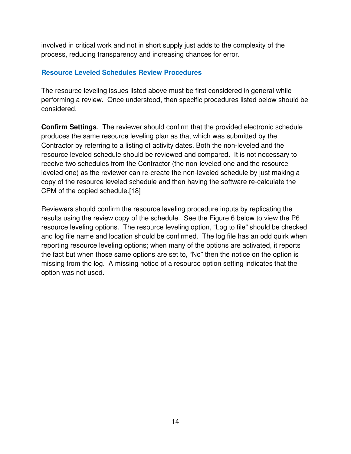involved in critical work and not in short supply just adds to the complexity of the process, reducing transparency and increasing chances for error.

#### **Resource Leveled Schedules Review Procedures**

The resource leveling issues listed above must be first considered in general while performing a review. Once understood, then specific procedures listed below should be considered.

**Confirm Settings**. The reviewer should confirm that the provided electronic schedule produces the same resource leveling plan as that which was submitted by the Contractor by referring to a listing of activity dates. Both the non-leveled and the resource leveled schedule should be reviewed and compared. It is not necessary to receive two schedules from the Contractor (the non-leveled one and the resource leveled one) as the reviewer can re-create the non-leveled schedule by just making a copy of the resource leveled schedule and then having the software re-calculate the CPM of the copied schedule.[18]

Reviewers should confirm the resource leveling procedure inputs by replicating the results using the review copy of the schedule. See the Figure 6 below to view the P6 resource leveling options. The resource leveling option, "Log to file" should be checked and log file name and location should be confirmed. The log file has an odd quirk when reporting resource leveling options; when many of the options are activated, it reports the fact but when those same options are set to, "No" then the notice on the option is missing from the log. A missing notice of a resource option setting indicates that the option was not used.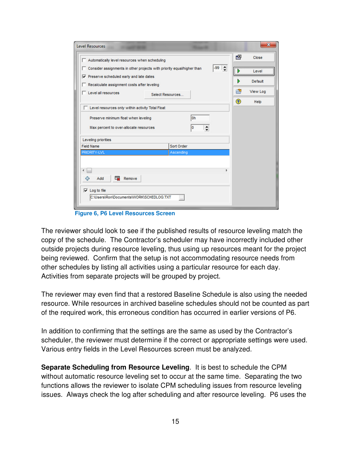| Automatically level resources when scheduling                                                                                 |                                                                                              |                     | 凹             | Close                        |
|-------------------------------------------------------------------------------------------------------------------------------|----------------------------------------------------------------------------------------------|---------------------|---------------|------------------------------|
| $\triangledown$ Preserve scheduled early and late dates<br>Recalculate assignment costs after leveling<br>Level all resources | □ Consider assignments in other projects with priority equal/higher than<br>Select Resources | $-99$ $\Rightarrow$ | Þ<br>₿        | Level<br>Default<br>View Log |
| E Level resources only within activity Total Float                                                                            |                                                                                              |                     | $\circledast$ | Help                         |
| Preserve minimum float when leveling                                                                                          | l0h                                                                                          |                     |               |                              |
|                                                                                                                               |                                                                                              |                     |               |                              |
| Max percent to over-allocate resources                                                                                        | 0                                                                                            |                     |               |                              |
| Leveling priorities                                                                                                           |                                                                                              |                     |               |                              |
| <b>Field Name</b>                                                                                                             | Sort Order                                                                                   |                     |               |                              |
| PRIORITY-LVL                                                                                                                  | Ascending                                                                                    |                     |               |                              |
|                                                                                                                               |                                                                                              |                     |               |                              |
|                                                                                                                               |                                                                                              |                     |               |                              |
| Remove<br>Add                                                                                                                 |                                                                                              |                     |               |                              |
| 45                                                                                                                            |                                                                                              |                     |               |                              |
| $\overline{\mathbf{v}}$ Log to file                                                                                           |                                                                                              |                     |               |                              |
|                                                                                                                               |                                                                                              |                     |               |                              |

**Figure 6, P6 Level Resources Screen** 

The reviewer should look to see if the published results of resource leveling match the copy of the schedule. The Contractor's scheduler may have incorrectly included other outside projects during resource leveling, thus using up resources meant for the project being reviewed. Confirm that the setup is not accommodating resource needs from other schedules by listing all activities using a particular resource for each day. Activities from separate projects will be grouped by project.

The reviewer may even find that a restored Baseline Schedule is also using the needed resource. While resources in archived baseline schedules should not be counted as part of the required work, this erroneous condition has occurred in earlier versions of P6.

In addition to confirming that the settings are the same as used by the Contractor's scheduler, the reviewer must determine if the correct or appropriate settings were used. Various entry fields in the Level Resources screen must be analyzed.

**Separate Scheduling from Resource Leveling**. It is best to schedule the CPM without automatic resource leveling set to occur at the same time. Separating the two functions allows the reviewer to isolate CPM scheduling issues from resource leveling issues. Always check the log after scheduling and after resource leveling. P6 uses the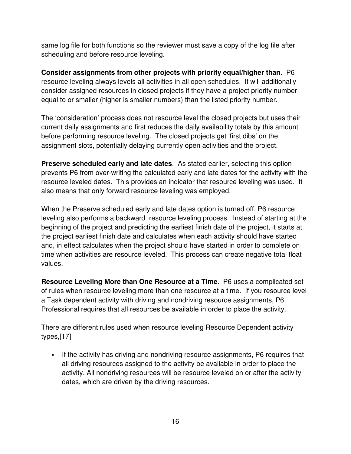same log file for both functions so the reviewer must save a copy of the log file after scheduling and before resource leveling.

**Consider assignments from other projects with priority equal/higher than**. P6 resource leveling always levels all activities in all open schedules. It will additionally consider assigned resources in closed projects if they have a project priority number equal to or smaller (higher is smaller numbers) than the listed priority number.

The 'consideration' process does not resource level the closed projects but uses their current daily assignments and first reduces the daily availability totals by this amount before performing resource leveling. The closed projects get 'first dibs' on the assignment slots, potentially delaying currently open activities and the project.

**Preserve scheduled early and late dates**. As stated earlier, selecting this option prevents P6 from over-writing the calculated early and late dates for the activity with the resource leveled dates. This provides an indicator that resource leveling was used. It also means that only forward resource leveling was employed.

When the Preserve scheduled early and late dates option is turned off, P6 resource leveling also performs a backward resource leveling process. Instead of starting at the beginning of the project and predicting the earliest finish date of the project, it starts at the project earliest finish date and calculates when each activity should have started and, in effect calculates when the project should have started in order to complete on time when activities are resource leveled. This process can create negative total float values.

**Resource Leveling More than One Resource at a Time**. P6 uses a complicated set of rules when resource leveling more than one resource at a time. If you resource level a Task dependent activity with driving and nondriving resource assignments, P6 Professional requires that all resources be available in order to place the activity.

There are different rules used when resource leveling Resource Dependent activity types,[17]

If the activity has driving and nondriving resource assignments, P6 requires that all driving resources assigned to the activity be available in order to place the activity. All nondriving resources will be resource leveled on or after the activity dates, which are driven by the driving resources.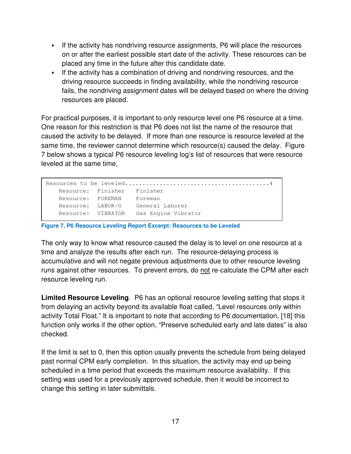- If the activity has nondriving resource assignments, P6 will place the resources on or after the earliest possible start date of the activity. These resources can be placed any time in the future after this candidate date.
- If the activity has a combination of driving and nondriving resources, and the driving resource succeeds in finding availability, while the nondriving resource fails, the nondriving assignment dates will be delayed based on where the driving resources are placed.

For practical purposes, it is important to only resource level one P6 resource at a time. One reason for this restriction is that P6 does not list the name of the resource that caused the activity to be delayed. If more than one resource is resource leveled at the same time, the reviewer cannot determine which resource(s) caused the delay. Figure 7 below shows a typical P6 resource leveling log's list of resources that were resource leveled at the same time,

```
Resources to be leveled..........................................4 
Resource: Finisher Finisher 
Resource: FOREMAN Foreman 
Resource: LABOR-G General Laborer 
Resource: VIBRATOR Gas Engine Vibrator
```
**Figure 7, P6 Resource Leveling Report Excerpt: Resources to be Leveled** 

The only way to know what resource caused the delay is to level on one resource at a time and analyze the results after each run. The resource-delaying process is accumulative and will not negate previous adjustments due to other resource leveling runs against other resources. To prevent errors, do not re-calculate the CPM after each resource leveling run.

**Limited Resource Leveling**. P6 has an optional resource leveling setting that stops it from delaying an activity beyond its available float called, "Level resources only within activity Total Float." It is important to note that according to P6 documentation, [18] this function only works if the other option, "Preserve scheduled early and late dates" is also checked.

If the limit is set to 0, then this option usually prevents the schedule from being delayed past normal CPM early completion. In this situation, the activity may end up being scheduled in a time period that exceeds the maximum resource availability. If this setting was used for a previously approved schedule, then it would be incorrect to change this setting in later submittals.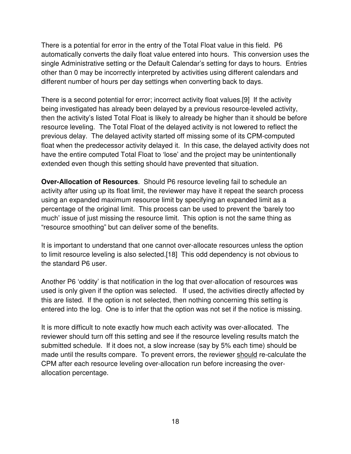There is a potential for error in the entry of the Total Float value in this field. P6 automatically converts the daily float value entered into hours. This conversion uses the single Administrative setting or the Default Calendar's setting for days to hours. Entries other than 0 may be incorrectly interpreted by activities using different calendars and different number of hours per day settings when converting back to days.

There is a second potential for error; incorrect activity float values.[9] If the activity being investigated has already been delayed by a previous resource-leveled activity, then the activity's listed Total Float is likely to already be higher than it should be before resource leveling. The Total Float of the delayed activity is not lowered to reflect the previous delay. The delayed activity started off missing some of its CPM-computed float when the predecessor activity delayed it. In this case, the delayed activity does not have the entire computed Total Float to 'lose' and the project may be unintentionally extended even though this setting should have prevented that situation.

**Over-Allocation of Resources**. Should P6 resource leveling fail to schedule an activity after using up its float limit, the reviewer may have it repeat the search process using an expanded maximum resource limit by specifying an expanded limit as a percentage of the original limit. This process can be used to prevent the 'barely too much' issue of just missing the resource limit. This option is not the same thing as "resource smoothing" but can deliver some of the benefits.

It is important to understand that one cannot over-allocate resources unless the option to limit resource leveling is also selected.[18] This odd dependency is not obvious to the standard P6 user.

Another P6 'oddity' is that notification in the log that over-allocation of resources was used is only given if the option was selected. If used, the activities directly affected by this are listed. If the option is not selected, then nothing concerning this setting is entered into the log. One is to infer that the option was not set if the notice is missing.

It is more difficult to note exactly how much each activity was over-allocated. The reviewer should turn off this setting and see if the resource leveling results match the submitted schedule. If it does not, a slow increase (say by 5% each time) should be made until the results compare. To prevent errors, the reviewer should re-calculate the CPM after each resource leveling over-allocation run before increasing the overallocation percentage.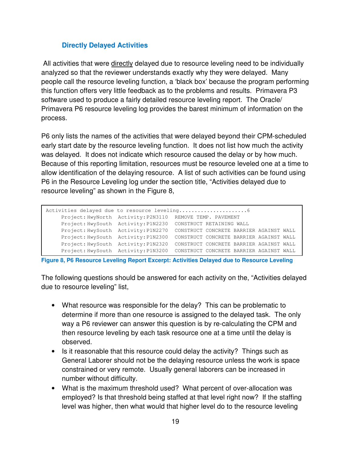## **Directly Delayed Activities**

 All activities that were directly delayed due to resource leveling need to be individually analyzed so that the reviewer understands exactly why they were delayed. Many people call the resource leveling function, a 'black box' because the program performing this function offers very little feedback as to the problems and results. Primavera P3 software used to produce a fairly detailed resource leveling report. The Oracle/ Primavera P6 resource leveling log provides the barest minimum of information on the process.

P6 only lists the names of the activities that were delayed beyond their CPM-scheduled early start date by the resource leveling function. It does not list how much the activity was delayed. It does not indicate which resource caused the delay or by how much. Because of this reporting limitation, resources must be resource leveled one at a time to allow identification of the delaying resource. A list of such activities can be found using P6 in the Resource Leveling log under the section title, "Activities delayed due to resource leveling" as shown in the Figure 8,

|                                     | Project: HwyNorth Activity: P2N3110 REMOVE TEMP. PAVEMENT |
|-------------------------------------|-----------------------------------------------------------|
| Project: HwySouth Activity: P1N2230 | CONSTRUCT RETAINING WALL                                  |
| Project: HwySouth Activity: P1N2270 | CONSTRUCT CONCRETE BARRIER AGAINST WALL                   |
| Project: HwySouth Activity: P1N2300 | CONSTRUCT CONCRETE BARRIER AGAINST WALL                   |
| Project: HwySouth Activity: P1N2320 | CONSTRUCT CONCRETE BARRIER AGAINST WALL                   |
| Project: HwySouth Activity: P1N3200 | CONSTRUCT CONCRETE BARRIER AGAINST WALL                   |

**Figure 8, P6 Resource Leveling Report Excerpt: Activities Delayed due to Resource Leveling** 

The following questions should be answered for each activity on the, "Activities delayed due to resource leveling" list,

- What resource was responsible for the delay? This can be problematic to determine if more than one resource is assigned to the delayed task. The only way a P6 reviewer can answer this question is by re-calculating the CPM and then resource leveling by each task resource one at a time until the delay is observed.
- Is it reasonable that this resource could delay the activity? Things such as General Laborer should not be the delaying resource unless the work is space constrained or very remote. Usually general laborers can be increased in number without difficulty.
- What is the maximum threshold used? What percent of over-allocation was employed? Is that threshold being staffed at that level right now? If the staffing level was higher, then what would that higher level do to the resource leveling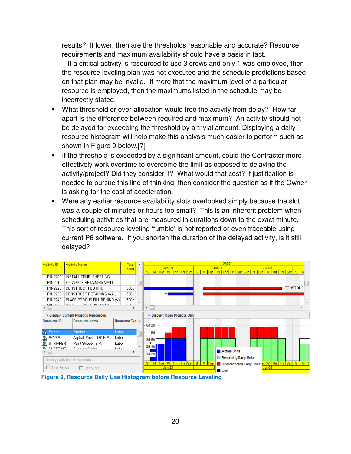results? If lower, then are the thresholds reasonable and accurate? Resource requirements and maximum availability should have a basis in fact.

 If a critical activity is resourced to use 3 crews and only 1 was employed, then the resource leveling plan was not executed and the schedule predictions based on that plan may be invalid. If more that the maximum level of a particular resource is employed, then the maximums listed in the schedule may be incorrectly stated.

- What threshold or over-allocation would free the activity from delay? How far apart is the difference between required and maximum? An activity should not be delayed for exceeding the threshold by a trivial amount. Displaying a daily resource histogram will help make this analysis much easier to perform such as shown in Figure 9 below.[7]
- If the threshold is exceeded by a significant amount, could the Contractor more effectively work overtime to overcome the limit as opposed to delaying the activity/project? Did they consider it? What would that cost? If justification is needed to pursue this line of thinking, then consider the question as if the Owner is asking for the cost of acceleration.
- Were any earlier resource availability slots overlooked simply because the slot was a couple of minutes or hours too small? This is an inherent problem when scheduling activities that are measured in durations down to the exact minute. This sort of resource leveling 'fumble' is not reported or even traceable using current P6 software. If you shorten the duration of the delayed activity, is it still delayed?

| <b>Activity Name</b>                                 | Total                                        | $\blacktriangle$                                                                   | 2007                                                                                                                        |
|------------------------------------------------------|----------------------------------------------|------------------------------------------------------------------------------------|-----------------------------------------------------------------------------------------------------------------------------|
|                                                      | Float                                        |                                                                                    | <b>Jun 24</b><br><b>Jul 01</b><br><b>Jul 08</b>                                                                             |
|                                                      |                                              |                                                                                    | Tue W Thr<br>Fri Sat<br>S<br>Fri Sat Sun<br>$S$ $M$<br>Tue<br>M Tue<br>Fri Sat<br>$S^{\prime}$<br>M<br>w<br><b>Thr</b><br>W |
|                                                      |                                              |                                                                                    |                                                                                                                             |
|                                                      |                                              |                                                                                    |                                                                                                                             |
| CONSTRUCT FOOTING                                    | $-500d$                                      |                                                                                    | CONSTRUC                                                                                                                    |
|                                                      | $-500d$                                      |                                                                                    |                                                                                                                             |
|                                                      | $-500d$                                      |                                                                                    |                                                                                                                             |
| <b>DAOVER LIDETARING CALL</b>                        | FOO L                                        |                                                                                    |                                                                                                                             |
|                                                      |                                              |                                                                                    |                                                                                                                             |
| $\triangledown$ Display: Current Project's Resources |                                              |                                                                                    | $\triangledown$ Display: Open Projects Only                                                                                 |
| Resource Name                                        |                                              |                                                                                    |                                                                                                                             |
|                                                      |                                              |                                                                                    | 6d 2h                                                                                                                       |
| Finisher                                             | Labor                                        |                                                                                    | 5d                                                                                                                          |
| Asphalt Paver, 130 H.P.                              | Labor                                        |                                                                                    | $3d$ 6h                                                                                                                     |
| STRIPPER<br>Paint Stripper, S.P.                     | Labor                                        |                                                                                    |                                                                                                                             |
| <b>CUCETIMIC</b><br>Chaption Driver                  | Linker.                                      |                                                                                    | 2d $4h$                                                                                                                     |
|                                                      |                                              |                                                                                    | Actual Units<br>$1d$ 2h                                                                                                     |
| Display Activities for selected                      |                                              |                                                                                    | Remaining Early Units                                                                                                       |
|                                                      |                                              |                                                                                    | Fri Sat<br>S M Tue<br>W Thr Fri Sat<br>S <sub>1</sub><br>M Tue W Thr<br>S<br>Overallocated Early Units                      |
| □ Resource                                           |                                              |                                                                                    | <b>Jul 08</b><br><b>Jun 24</b><br>Limit                                                                                     |
|                                                      | INSTALL TEMP, SHEETING<br>$\Box$ Time Period | EXCAVATE RETAINING WALL<br>CONSTRUCT RETAINING WALL<br>PLACE POROUS FILL BEHIND W/ | Resource Typ A<br>$\overline{\phantom{a}}$                                                                                  |

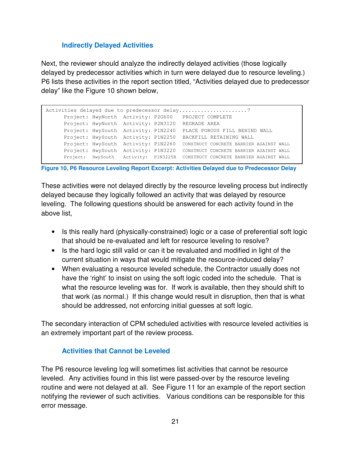## **Indirectly Delayed Activities**

Next, the reviewer should analyze the indirectly delayed activities (those logically delayed by predecessor activities which in turn were delayed due to resource leveling.) P6 lists these activities in the report section titled, "Activities delayed due to predecessor delay" like the Figure 10 shown below,

|  |                                     | Project: HwyNorth Activity: P2G600 PROJECT COMPLETE                          |
|--|-------------------------------------|------------------------------------------------------------------------------|
|  | Project: HwyNorth Activity: P2N3120 | REGRADE AREA                                                                 |
|  | Project: HwySouth Activity: P1N2240 | PLACE POROUS FILL BEHIND WALL                                                |
|  | Project: HwySouth Activity: P1N2250 | BACKFILL RETAINING WALL                                                      |
|  | Project: HwySouth Activity: P1N2260 | CONSTRUCT CONCRETE BARRIER AGAINST WALL                                      |
|  | Project: HwySouth Activity: P1N3220 | CONSTRUCT CONCRETE BARRIER AGAINST WALL                                      |
|  |                                     | Project: HwySouth Activity: P1N3225B CONSTRUCT CONCRETE BARRIER AGAINST WALL |

#### **Figure 10, P6 Resource Leveling Report Excerpt: Activities Delayed due to Predecessor Delay**

These activities were not delayed directly by the resource leveling process but indirectly delayed because they logically followed an activity that was delayed by resource leveling. The following questions should be answered for each activity found in the above list,

- Is this really hard (physically-constrained) logic or a case of preferential soft logic that should be re-evaluated and left for resource leveling to resolve?
- Is the hard logic still valid or can it be revaluated and modified in light of the current situation in ways that would mitigate the resource-induced delay?
- When evaluating a resource leveled schedule, the Contractor usually does not have the 'right' to insist on using the soft logic coded into the schedule. That is what the resource leveling was for. If work is available, then they should shift to that work (as normal.) If this change would result in disruption, then that is what should be addressed, not enforcing initial guesses at soft logic.

The secondary interaction of CPM scheduled activities with resource leveled activities is an extremely important part of the review process.

#### **Activities that Cannot be Leveled**

The P6 resource leveling log will sometimes list activities that cannot be resource leveled. Any activities found in this list were passed-over by the resource leveling routine and were not delayed at all. See Figure 11 for an example of the report section notifying the reviewer of such activities. Various conditions can be responsible for this error message.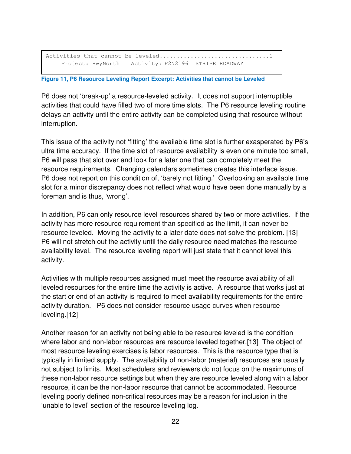Activities that cannot be leveled................................1 Project: HwyNorth Activity: P2N2196 STRIPE ROADWAY

#### **Figure 11, P6 Resource Leveling Report Excerpt: Activities that cannot be Leveled**

P6 does not 'break-up' a resource-leveled activity. It does not support interruptible activities that could have filled two of more time slots. The P6 resource leveling routine delays an activity until the entire activity can be completed using that resource without interruption.

This issue of the activity not 'fitting' the available time slot is further exasperated by P6's ultra time accuracy. If the time slot of resource availability is even one minute too small, P6 will pass that slot over and look for a later one that can completely meet the resource requirements. Changing calendars sometimes creates this interface issue. P6 does not report on this condition of, 'barely not fitting.' Overlooking an available time slot for a minor discrepancy does not reflect what would have been done manually by a foreman and is thus, 'wrong'.

In addition, P6 can only resource level resources shared by two or more activities. If the activity has more resource requirement than specified as the limit, it can never be resource leveled. Moving the activity to a later date does not solve the problem. [13] P6 will not stretch out the activity until the daily resource need matches the resource availability level. The resource leveling report will just state that it cannot level this activity.

Activities with multiple resources assigned must meet the resource availability of all leveled resources for the entire time the activity is active. A resource that works just at the start or end of an activity is required to meet availability requirements for the entire activity duration. P6 does not consider resource usage curves when resource leveling.[12]

Another reason for an activity not being able to be resource leveled is the condition where labor and non-labor resources are resource leveled together.[13] The object of most resource leveling exercises is labor resources. This is the resource type that is typically in limited supply. The availability of non-labor (material) resources are usually not subject to limits. Most schedulers and reviewers do not focus on the maximums of these non-labor resource settings but when they are resource leveled along with a labor resource, it can be the non-labor resource that cannot be accommodated. Resource leveling poorly defined non-critical resources may be a reason for inclusion in the 'unable to level' section of the resource leveling log.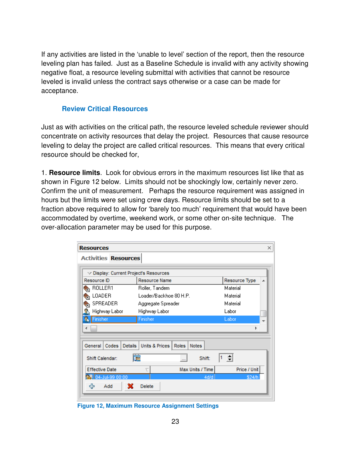If any activities are listed in the 'unable to level' section of the report, then the resource leveling plan has failed. Just as a Baseline Schedule is invalid with any activity showing negative float, a resource leveling submittal with activities that cannot be resource leveled is invalid unless the contract says otherwise or a case can be made for acceptance.

#### **Review Critical Resources**

Just as with activities on the critical path, the resource leveled schedule reviewer should concentrate on activity resources that delay the project. Resources that cause resource leveling to delay the project are called critical resources. This means that every critical resource should be checked for,

1. **Resource limits**. Look for obvious errors in the maximum resources list like that as shown in Figure 12 below. Limits should not be shockingly low, certainly never zero. Confirm the unit of measurement. Perhaps the resource requirement was assigned in hours but the limits were set using crew days. Resource limits should be set to a fraction above required to allow for 'barely too much' requirement that would have been accommodated by overtime, weekend work, or some other on-site technique. The over-allocation parameter may be used for this purpose.

| <b>Resources</b>                                     |                                                           | $\times$           |
|------------------------------------------------------|-----------------------------------------------------------|--------------------|
| <b>Activities Resources</b>                          |                                                           |                    |
|                                                      |                                                           |                    |
| $\triangledown$ Display: Current Project's Resources |                                                           |                    |
| Resource ID                                          | Resource Name                                             | Resource Type<br>▲ |
| ROLLER1<br><b>RE</b>                                 | Roller, Tandem                                            | Material           |
| LOADER<br>۹ż                                         | Loader/Backhoe 80 H.P.                                    | Material           |
| SPREADER<br>⇖                                        | Aggregate Spreader                                        | Material           |
| Ĵ.<br>Highway Labor                                  | Highway Labor                                             | Labor              |
| Finisher                                             | Finisher                                                  | Labor              |
| ∢                                                    |                                                           |                    |
|                                                      |                                                           |                    |
| General<br><b>Details</b><br>Codes                   | <b>Units &amp; Prices</b><br><b>Notes</b><br><b>Roles</b> |                    |
| Shift Calendar:                                      | <b>R</b><br>Shift:<br>$\mathbf{r}$                        | ÷                  |
| <b>Effective Date</b>                                | Max Units / Time<br>٢                                     | Price / Unit       |
| 04-Jul-99 00:00                                      | 4d/d                                                      | \$24/h             |
| ♧<br>х<br>Add                                        | Delete                                                    |                    |

**Figure 12, Maximum Resource Assignment Settings**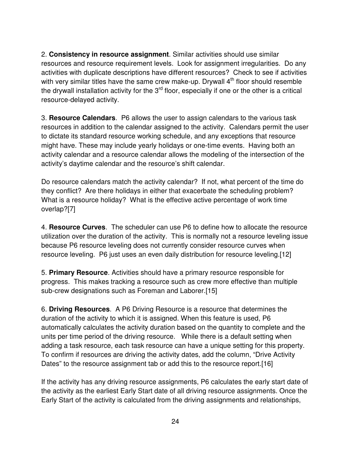2. **Consistency in resource assignment**. Similar activities should use similar resources and resource requirement levels. Look for assignment irregularities. Do any activities with duplicate descriptions have different resources? Check to see if activities with very similar titles have the same crew make-up. Drywall  $4<sup>th</sup>$  floor should resemble the drywall installation activity for the  $3<sup>rd</sup>$  floor, especially if one or the other is a critical resource-delayed activity.

3. **Resource Calendars**. P6 allows the user to assign calendars to the various task resources in addition to the calendar assigned to the activity. Calendars permit the user to dictate its standard resource working schedule, and any exceptions that resource might have. These may include yearly holidays or one-time events. Having both an activity calendar and a resource calendar allows the modeling of the intersection of the activity's daytime calendar and the resource's shift calendar.

Do resource calendars match the activity calendar? If not, what percent of the time do they conflict? Are there holidays in either that exacerbate the scheduling problem? What is a resource holiday? What is the effective active percentage of work time overlap?[7]

4. **Resource Curves**. The scheduler can use P6 to define how to allocate the resource utilization over the duration of the activity. This is normally not a resource leveling issue because P6 resource leveling does not currently consider resource curves when resource leveling. P6 just uses an even daily distribution for resource leveling.[12]

5. **Primary Resource**. Activities should have a primary resource responsible for progress. This makes tracking a resource such as crew more effective than multiple sub-crew designations such as Foreman and Laborer.[15]

6. **Driving Resources**. A P6 Driving Resource is a resource that determines the duration of the activity to which it is assigned. When this feature is used, P6 automatically calculates the activity duration based on the quantity to complete and the units per time period of the driving resource. While there is a default setting when adding a task resource, each task resource can have a unique setting for this property. To confirm if resources are driving the activity dates, add the column, "Drive Activity Dates" to the resource assignment tab or add this to the resource report.[16]

If the activity has any driving resource assignments, P6 calculates the early start date of the activity as the earliest Early Start date of all driving resource assignments. Once the Early Start of the activity is calculated from the driving assignments and relationships,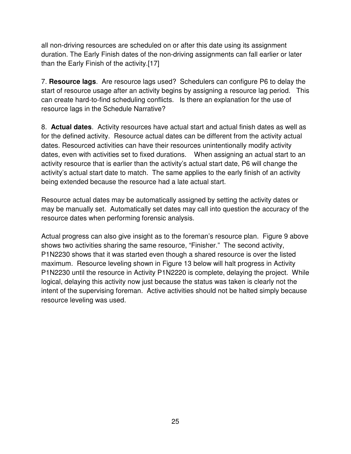all non-driving resources are scheduled on or after this date using its assignment duration. The Early Finish dates of the non-driving assignments can fall earlier or later than the Early Finish of the activity.[17]

7. **Resource lags**. Are resource lags used? Schedulers can configure P6 to delay the start of resource usage after an activity begins by assigning a resource lag period. This can create hard-to-find scheduling conflicts. Is there an explanation for the use of resource lags in the Schedule Narrative?

8. **Actual dates**. Activity resources have actual start and actual finish dates as well as for the defined activity. Resource actual dates can be different from the activity actual dates. Resourced activities can have their resources unintentionally modify activity dates, even with activities set to fixed durations. When assigning an actual start to an activity resource that is earlier than the activity's actual start date, P6 will change the activity's actual start date to match. The same applies to the early finish of an activity being extended because the resource had a late actual start.

Resource actual dates may be automatically assigned by setting the activity dates or may be manually set. Automatically set dates may call into question the accuracy of the resource dates when performing forensic analysis.

Actual progress can also give insight as to the foreman's resource plan. Figure 9 above shows two activities sharing the same resource, "Finisher." The second activity, P1N2230 shows that it was started even though a shared resource is over the listed maximum. Resource leveling shown in Figure 13 below will halt progress in Activity P1N2230 until the resource in Activity P1N2220 is complete, delaying the project. While logical, delaying this activity now just because the status was taken is clearly not the intent of the supervising foreman. Active activities should not be halted simply because resource leveling was used.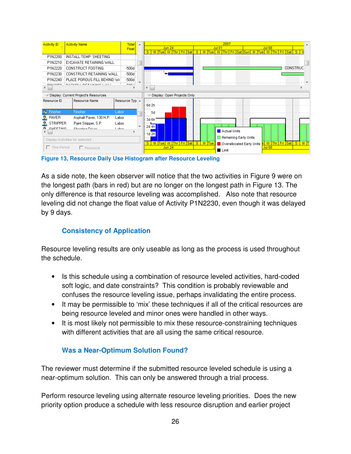| <b>Activity ID</b>              | <b>Total</b><br><b>Activity Name</b><br><b>A</b>     |                                       |   | 2007                                                                                            |
|---------------------------------|------------------------------------------------------|---------------------------------------|---|-------------------------------------------------------------------------------------------------|
|                                 |                                                      | Float                                 |   | <b>Jun 24</b><br><b>Jul 08</b><br><b>Jul 01</b><br>$^{\circ}$ S<br>Fri Sat Sun                  |
| P1N2200                         | INSTALL TEMP, SHEETING                               |                                       |   | M Tue W Thr Fri Sat<br>M Tue W<br>M Tue W Thr Fri Sat S<br><b>Thr</b><br>s                      |
| P1N2210                         | EXCAVATE RETAINING WALL                              |                                       |   |                                                                                                 |
|                                 |                                                      |                                       |   |                                                                                                 |
| P1N2220                         | CONSTRUCT FOOTING                                    | $-500d$                               |   | <b>CONSTRUC</b>                                                                                 |
| P1N2230                         | CONSTRUCT RETAINING WALL                             | $-500d$                               |   |                                                                                                 |
| P1N2240                         | PLACE POROUS FILL BEHIND W/                          | $-500d$                               |   |                                                                                                 |
| DIALOGED                        | <b>DAOVERS DETAILING CALL</b>                        | DOO L                                 |   | ∢                                                                                               |
|                                 |                                                      |                                       |   |                                                                                                 |
|                                 | $\triangledown$ Display: Current Project's Resources |                                       |   | $\triangledown$ Display: Open Projects Only                                                     |
| Resource ID                     | <b>Resource Name</b>                                 | Resource Typ $\overline{\phantom{a}}$ |   |                                                                                                 |
|                                 |                                                      |                                       |   | 6d 2h                                                                                           |
| Finisher                        | Finisher                                             | Labor                                 |   | 5d                                                                                              |
| <b>PAVER</b>                    | Asphalt Paver, 130 H.P.                              | Labor                                 |   | $3d$ 6h $\overline{\cdots}$                                                                     |
| <b>STRIPPER</b>                 | Paint Stripper, S.P.                                 | Labor                                 |   |                                                                                                 |
| <b>CUEETIMG</b>                 | Chaobing Driver                                      | Lohor                                 | ÷ | 2d 4h                                                                                           |
|                                 |                                                      |                                       |   | Actual Units<br>1d <sub>2h</sub>                                                                |
| Display Activities for selected |                                                      |                                       |   | Remaining Early Units                                                                           |
|                                 |                                                      |                                       |   | W Thr Fri Sat<br>S<br>M Tue W Thr Fri Sat<br>S M Tue<br>S<br>$M$ T<br>Overallocated Early Units |
| $\Box$ Time Period              | □ Resource                                           |                                       |   | <b>Jun 24</b><br><b>Jul 08</b><br>Limit                                                         |

**Figure 13, Resource Daily Use Histogram after Resource Leveling** 

As a side note, the keen observer will notice that the two activities in Figure 9 were on the longest path (bars in red) but are no longer on the longest path in Figure 13. The only difference is that resource leveling was accomplished. Also note that resource leveling did not change the float value of Activity P1N2230, even though it was delayed by 9 days.

## **Consistency of Application**

Resource leveling results are only useable as long as the process is used throughout the schedule.

- Is this schedule using a combination of resource leveled activities, hard-coded soft logic, and date constraints? This condition is probably reviewable and confuses the resource leveling issue, perhaps invalidating the entire process.
- It may be permissible to 'mix' these techniques if all of the critical resources are being resource leveled and minor ones were handled in other ways.
- It is most likely not permissible to mix these resource-constraining techniques with different activities that are all using the same critical resource.

# **Was a Near-Optimum Solution Found?**

The reviewer must determine if the submitted resource leveled schedule is using a near-optimum solution. This can only be answered through a trial process.

Perform resource leveling using alternate resource leveling priorities. Does the new priority option produce a schedule with less resource disruption and earlier project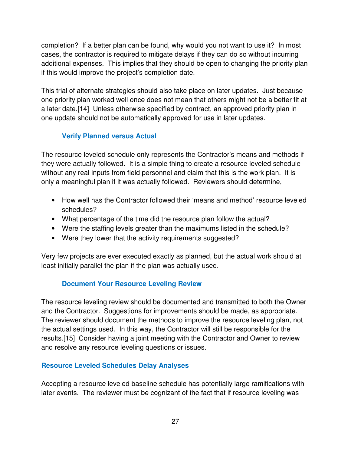completion? If a better plan can be found, why would you not want to use it? In most cases, the contractor is required to mitigate delays if they can do so without incurring additional expenses. This implies that they should be open to changing the priority plan if this would improve the project's completion date.

This trial of alternate strategies should also take place on later updates. Just because one priority plan worked well once does not mean that others might not be a better fit at a later date.[14] Unless otherwise specified by contract, an approved priority plan in one update should not be automatically approved for use in later updates.

## **Verify Planned versus Actual**

The resource leveled schedule only represents the Contractor's means and methods if they were actually followed. It is a simple thing to create a resource leveled schedule without any real inputs from field personnel and claim that this is the work plan. It is only a meaningful plan if it was actually followed. Reviewers should determine,

- How well has the Contractor followed their 'means and method' resource leveled schedules?
- What percentage of the time did the resource plan follow the actual?
- Were the staffing levels greater than the maximums listed in the schedule?
- Were they lower that the activity requirements suggested?

Very few projects are ever executed exactly as planned, but the actual work should at least initially parallel the plan if the plan was actually used.

# **Document Your Resource Leveling Review**

The resource leveling review should be documented and transmitted to both the Owner and the Contractor. Suggestions for improvements should be made, as appropriate. The reviewer should document the methods to improve the resource leveling plan, not the actual settings used. In this way, the Contractor will still be responsible for the results.[15] Consider having a joint meeting with the Contractor and Owner to review and resolve any resource leveling questions or issues.

## **Resource Leveled Schedules Delay Analyses**

Accepting a resource leveled baseline schedule has potentially large ramifications with later events. The reviewer must be cognizant of the fact that if resource leveling was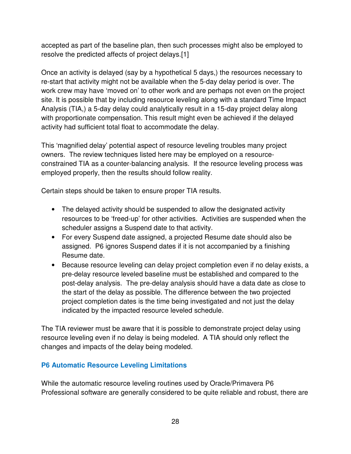accepted as part of the baseline plan, then such processes might also be employed to resolve the predicted affects of project delays.[1]

Once an activity is delayed (say by a hypothetical 5 days,) the resources necessary to re-start that activity might not be available when the 5-day delay period is over. The work crew may have 'moved on' to other work and are perhaps not even on the project site. It is possible that by including resource leveling along with a standard Time Impact Analysis (TIA,) a 5-day delay could analytically result in a 15-day project delay along with proportionate compensation. This result might even be achieved if the delayed activity had sufficient total float to accommodate the delay.

This 'magnified delay' potential aspect of resource leveling troubles many project owners. The review techniques listed here may be employed on a resourceconstrained TIA as a counter-balancing analysis. If the resource leveling process was employed properly, then the results should follow reality.

Certain steps should be taken to ensure proper TIA results.

- The delayed activity should be suspended to allow the designated activity resources to be 'freed-up' for other activities. Activities are suspended when the scheduler assigns a Suspend date to that activity.
- For every Suspend date assigned, a projected Resume date should also be assigned. P6 ignores Suspend dates if it is not accompanied by a finishing Resume date.
- Because resource leveling can delay project completion even if no delay exists, a pre-delay resource leveled baseline must be established and compared to the post-delay analysis. The pre-delay analysis should have a data date as close to the start of the delay as possible. The difference between the two projected project completion dates is the time being investigated and not just the delay indicated by the impacted resource leveled schedule.

The TIA reviewer must be aware that it is possible to demonstrate project delay using resource leveling even if no delay is being modeled. A TIA should only reflect the changes and impacts of the delay being modeled.

## **P6 Automatic Resource Leveling Limitations**

While the automatic resource leveling routines used by Oracle/Primavera P6 Professional software are generally considered to be quite reliable and robust, there are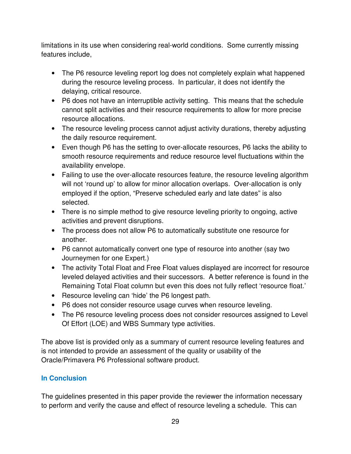limitations in its use when considering real-world conditions. Some currently missing features include,

- The P6 resource leveling report log does not completely explain what happened during the resource leveling process. In particular, it does not identify the delaying, critical resource.
- P6 does not have an interruptible activity setting. This means that the schedule cannot split activities and their resource requirements to allow for more precise resource allocations.
- The resource leveling process cannot adjust activity durations, thereby adjusting the daily resource requirement.
- Even though P6 has the setting to over-allocate resources, P6 lacks the ability to smooth resource requirements and reduce resource level fluctuations within the availability envelope.
- Failing to use the over-allocate resources feature, the resource leveling algorithm will not 'round up' to allow for minor allocation overlaps. Over-allocation is only employed if the option, "Preserve scheduled early and late dates" is also selected.
- There is no simple method to give resource leveling priority to ongoing, active activities and prevent disruptions.
- The process does not allow P6 to automatically substitute one resource for another.
- P6 cannot automatically convert one type of resource into another (say two Journeymen for one Expert.)
- The activity Total Float and Free Float values displayed are incorrect for resource leveled delayed activities and their successors. A better reference is found in the Remaining Total Float column but even this does not fully reflect 'resource float.'
- Resource leveling can 'hide' the P6 longest path.
- P6 does not consider resource usage curves when resource leveling.
- The P6 resource leveling process does not consider resources assigned to Level Of Effort (LOE) and WBS Summary type activities.

The above list is provided only as a summary of current resource leveling features and is not intended to provide an assessment of the quality or usability of the Oracle/Primavera P6 Professional software product.

# **In Conclusion**

The guidelines presented in this paper provide the reviewer the information necessary to perform and verify the cause and effect of resource leveling a schedule. This can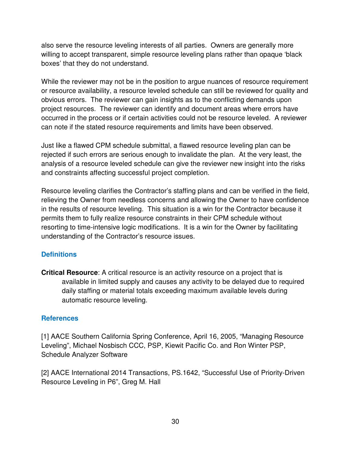also serve the resource leveling interests of all parties. Owners are generally more willing to accept transparent, simple resource leveling plans rather than opaque 'black boxes' that they do not understand.

While the reviewer may not be in the position to argue nuances of resource requirement or resource availability, a resource leveled schedule can still be reviewed for quality and obvious errors. The reviewer can gain insights as to the conflicting demands upon project resources. The reviewer can identify and document areas where errors have occurred in the process or if certain activities could not be resource leveled. A reviewer can note if the stated resource requirements and limits have been observed.

Just like a flawed CPM schedule submittal, a flawed resource leveling plan can be rejected if such errors are serious enough to invalidate the plan. At the very least, the analysis of a resource leveled schedule can give the reviewer new insight into the risks and constraints affecting successful project completion.

Resource leveling clarifies the Contractor's staffing plans and can be verified in the field, relieving the Owner from needless concerns and allowing the Owner to have confidence in the results of resource leveling. This situation is a win for the Contractor because it permits them to fully realize resource constraints in their CPM schedule without resorting to time-intensive logic modifications. It is a win for the Owner by facilitating understanding of the Contractor's resource issues.

## **Definitions**

**Critical Resource**: A critical resource is an activity resource on a project that is available in limited supply and causes any activity to be delayed due to required daily staffing or material totals exceeding maximum available levels during automatic resource leveling.

#### **References**

[1] AACE Southern California Spring Conference, April 16, 2005, "Managing Resource Leveling", Michael Nosbisch CCC, PSP, Kiewit Pacific Co. and Ron Winter PSP, Schedule Analyzer Software

[2] AACE International 2014 Transactions, PS.1642, "Successful Use of Priority-Driven Resource Leveling in P6", Greg M. Hall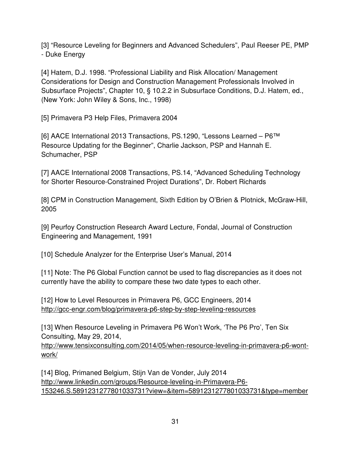[3] "Resource Leveling for Beginners and Advanced Schedulers", Paul Reeser PE, PMP - Duke Energy

[4] Hatem, D.J. 1998. "Professional Liability and Risk Allocation/ Management Considerations for Design and Construction Management Professionals Involved in Subsurface Projects", Chapter 10, § 10.2.2 in Subsurface Conditions, D.J. Hatem, ed., (New York: John Wiley & Sons, Inc., 1998)

[5] Primavera P3 Help Files, Primavera 2004

[6] AACE International 2013 Transactions, PS.1290, "Lessons Learned – P6™ Resource Updating for the Beginner", Charlie Jackson, PSP and Hannah E. Schumacher, PSP

[7] AACE International 2008 Transactions, PS.14, "Advanced Scheduling Technology for Shorter Resource-Constrained Project Durations", Dr. Robert Richards

[8] CPM in Construction Management, Sixth Edition by O'Brien & Plotnick, McGraw-Hill, 2005

[9] Peurfoy Construction Research Award Lecture, Fondal, Journal of Construction Engineering and Management, 1991

[10] Schedule Analyzer for the Enterprise User's Manual, 2014

[11] Note: The P6 Global Function cannot be used to flag discrepancies as it does not currently have the ability to compare these two date types to each other.

[12] How to Level Resources in Primavera P6, GCC Engineers, 2014 http://gcc-engr.com/blog/primavera-p6-step-by-step-leveling-resources

[13] When Resource Leveling in Primavera P6 Won't Work, 'The P6 Pro', Ten Six Consulting, May 29, 2014,

http://www.tensixconsulting.com/2014/05/when-resource-leveling-in-primavera-p6-wontwork/

[14] Blog, Primaned Belgium, Stijn Van de Vonder, July 2014 http://www.linkedin.com/groups/Resource-leveling-in-Primavera-P6- 153246.S.5891231277801033731?view=&item=5891231277801033731&type=member